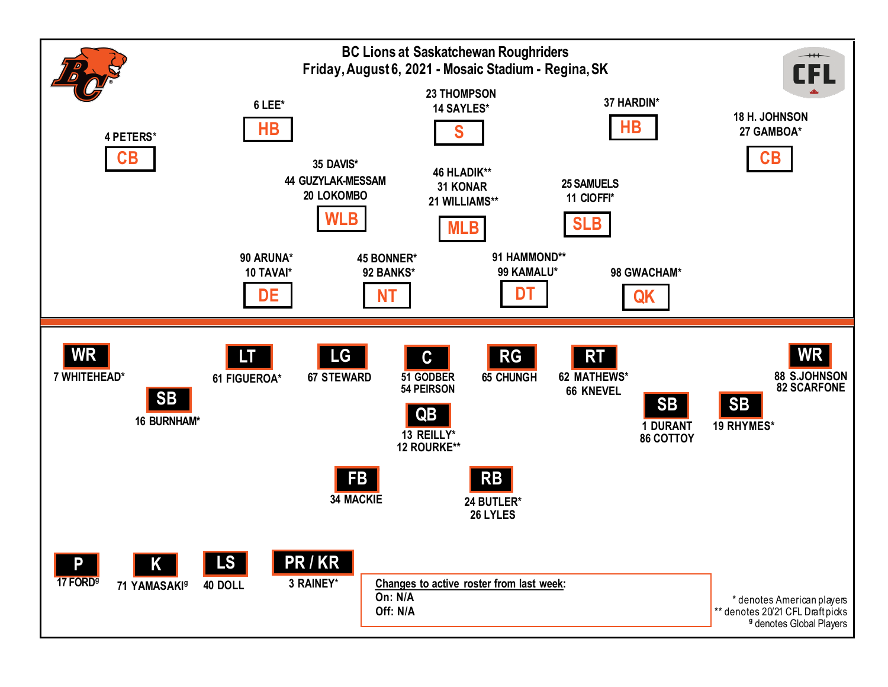